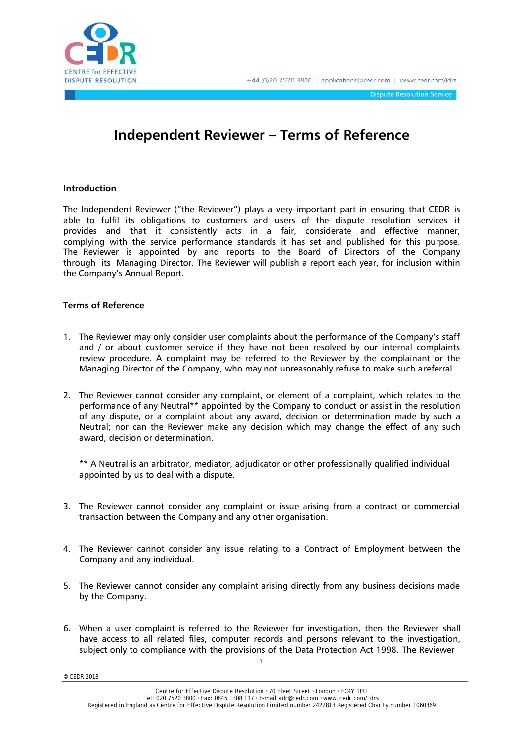

**Dispute Resolution Service** 

## **Independent Reviewer – Terms of Reference**

## **Introduction**

The Independent Reviewer ("the Reviewer") plays a very important part in ensuring that CEDR is able to fulfil its obligations to customers and users of the dispute resolution services it provides and that it consistently acts in a fair, considerate and effective manner, complying with the service performance standards it has set and published for this purpose. The Reviewer is appointed by and reports to the Board of Directors of the Company through its Managing Director. The Reviewer will publish a report each year, for inclusion within the Company's Annual Report.

## **Terms of Reference**

- 1. The Reviewer may only consider user complaints about the performance of the Company's staff and / or about customer service if they have not been resolved by our internal complaints review procedure. A complaint may be referred to the Reviewer by the complainant or the Managing Director of the Company, who may not unreasonably refuse to make such a referral.
- 2. The Reviewer cannot consider any complaint, or element of a complaint, which relates to the performance of any Neutral\*\* appointed by the Company to conduct or assist in the resolution of any dispute, or a complaint about any award, decision or determination made by such a Neutral; nor can the Reviewer make any decision which may change the effect of any such award, decision or determination.

\*\* A Neutral is an arbitrator, mediator, adjudicator or other professionally qualified individual appointed by us to deal with a dispute.

- 3. The Reviewer cannot consider any complaint or issue arising from a contract or commercial transaction between the Company and any other organisation.
- 4. The Reviewer cannot consider any issue relating to a Contract of Employment between the Company and any individual.
- 5. The Reviewer cannot consider any complaint arising directly from any business decisions made by the Company.
- 6. When a user complaint is referred to the Reviewer for investigation, then the Reviewer shall have access to all related files, computer records and persons relevant to the investigation, subject only to compliance with the provisions of the Data Protection Act 1998. The Reviewer

1

© CEDR 2018